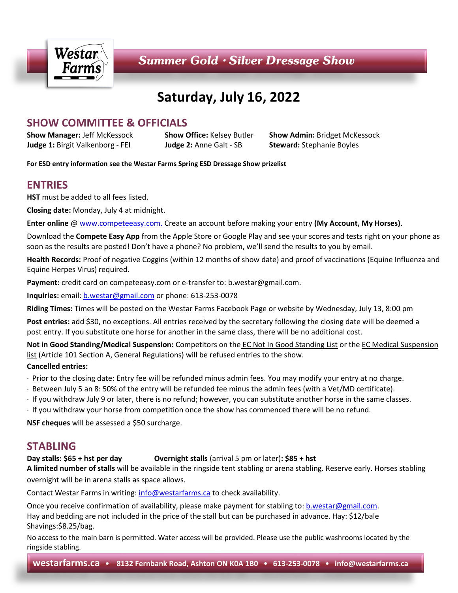

# **Saturday, July 16, 2022**

# **SHOW COMMITTEE & OFFICIALS**

**Judge 1:** Birgit Valkenborg - FEI **Judge 2:** Anne Galt - SB **Steward:** Stephanie Boyles

**Show Manager:** Jeff McKessock **Show Office:** Kelsey Butler **Show Admin:** Bridget McKessock

**For ESD entry information see the Westar Farms Spring ESD Dressage Show prizelist**

# **ENTRIES**

**HST** must be added to all fees listed.

**Closing date:** Monday, July 4 at midnight.

**Enter online** [@ www.competeeasy.com.](http://www.competeeasy.com/) Create an account before making your entry **(My Account, My Horses)**.

Download the **Compete Easy App** from the Apple Store or Google Play and see your scores and tests right on your phone as soon as the results are posted! Don't have a phone? No problem, we'll send the results to you by email.

**Health Records:** Proof of negative Coggins (within 12 months of show date) and proof of vaccinations (Equine Influenza and Equine Herpes Virus) required.

**Payment:** credit card on competeeasy.com or e-transfer to: b.westar@gmail.com.

**Inquiries:** email[: b.westar@gmail.com](mailto:b.westar@gmail.com) or phone: 613-253-0078

**Riding Times:** Times will be posted on the Westar Farms Facebook Page or website by Wednesday, July 13, 8:00 pm

**Post entries:** add \$30, no exceptions. All entries received by the secretary following the closing date will be deemed a post entry. If you substitute one horse for another in the same class, there will be no additional cost.

**Not in Good Standing/Medical Suspension:** Competitors on the EC Not In Good Standing List or the EC Medical Suspension list (Article 101 Section A, General Regulations) will be refused entries to the show.

#### **Cancelled entries:**

- Prior to the closing date: Entry fee will be refunded minus admin fees. You may modify your entry at no charge.
- Between July 5 an 8: 50% of the entry will be refunded fee minus the admin fees (with a Vet/MD certificate).
- If you withdraw July 9 or later, there is no refund; however, you can substitute another horse in the same classes.
- If you withdraw your horse from competition once the show has commenced there will be no refund.

**NSF cheques** will be assessed a \$50 surcharge.

# **STABLING**

#### **Day stalls: \$65 + hst per day Overnight stalls** (arrival 5 pm or later)**: \$85 + hst**

**A limited number of stalls** will be available in the ringside tent stabling or arena stabling. Reserve early. Horses stabling overnight will be in arena stalls as space allows.

Contact Westar Farms in writing: [info@westarfarms.ca](mailto:info@westarfarms.ca) to check availability.

Once you receive confirmation of availability, please make payment for stabling to: [b.westar@gmail.com.](mailto:b.westar@gmail.com) Hay and bedding are not included in the price of the stall but can be purchased in advance. Hay: \$12/bale Shavings:\$8.25/bag.

No access to the main barn is permitted. Water access will be provided. Please use the public washrooms located by the ringside stabling.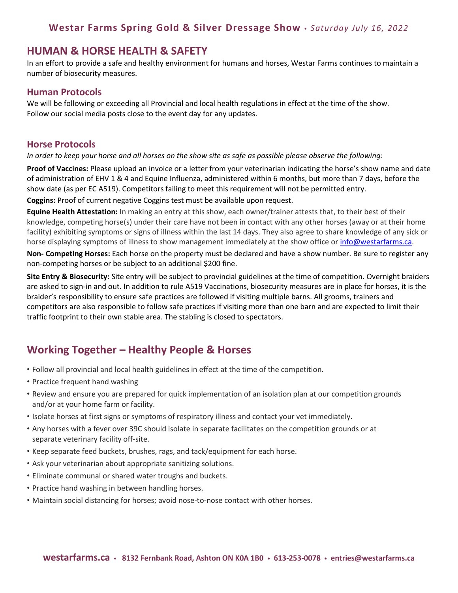#### **HUMAN & HORSE HEALTH & SAFETY**

In an effort to provide a safe and healthy environment for humans and horses, Westar Farms continues to maintain a number of biosecurity measures.

#### **Human Protocols**

We will be following or exceeding all Provincial and local health regulations in effect at the time of the show. Follow our social media posts close to the event day for any updates.

#### **Horse Protocols**

#### *In order to keep your horse and all horses on the show site as safe as possible please observe the following:*

**Proof of Vaccines:** Please upload an invoice or a letter from your veterinarian indicating the horse's show name and date of administration of EHV 1 & 4 and Equine Influenza, administered within 6 months, but more than 7 days, before the show date (as per EC A519). Competitors failing to meet this requirement will not be permitted entry. **Coggins:** Proof of current negative Coggins test must be available upon request.

**Equine Health Attestation:** In making an entry at this show, each owner/trainer attests that, to their best of their knowledge, competing horse(s) under their care have not been in contact with any other horses (away or at their home facility) exhibiting symptoms or signs of illness within the last 14 days. They also agree to share knowledge of any sick or horse displaying symptoms of illness to show management immediately at the show office o[r info@westarfarms.ca.](mailto:info@westarfarms.ca)

**Non- Competing Horses:** Each horse on the property must be declared and have a show number. Be sure to register any non-competing horses or be subject to an additional \$200 fine.

**Site Entry & Biosecurity:** Site entry will be subject to provincial guidelines at the time of competition. Overnight braiders are asked to sign-in and out. In addition to rule A519 Vaccinations, biosecurity measures are in place for horses, it is the braider's responsibility to ensure safe practices are followed if visiting multiple barns. All grooms, trainers and competitors are also responsible to follow safe practices if visiting more than one barn and are expected to limit their traffic footprint to their own stable area. The stabling is closed to spectators.

# **Working Together – Healthy People & Horses**

- Follow all provincial and local health guidelines in effect at the time of the competition.
- Practice frequent hand washing
- Review and ensure you are prepared for quick implementation of an isolation plan at our competition grounds and/or at your home farm or facility.
- Isolate horses at first signs or symptoms of respiratory illness and contact your vet immediately.
- Any horses with a fever over 39C should isolate in separate facilitates on the competition grounds or at separate veterinary facility off-site.
- Keep separate feed buckets, brushes, rags, and tack/equipment for each horse.
- Ask your veterinarian about appropriate sanitizing solutions.
- Eliminate communal or shared water troughs and buckets.
- Practice hand washing in between handling horses.
- Maintain social distancing for horses; avoid nose-to-nose contact with other horses.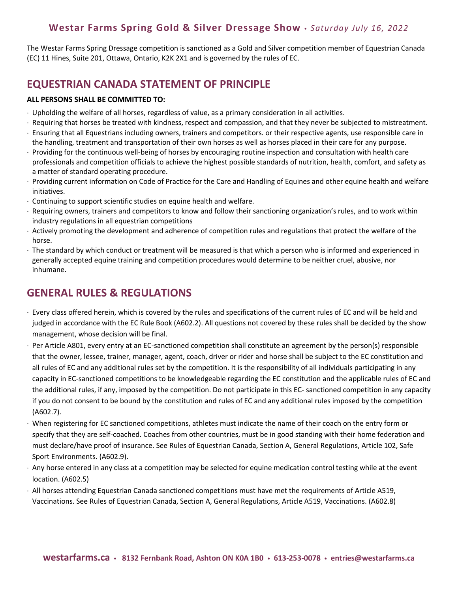The Westar Farms Spring Dressage competition is sanctioned as a Gold and Silver competition member of Equestrian Canada (EC) 11 Hines, Suite 201, Ottawa, Ontario, K2K 2X1 and is governed by the rules of EC.

# **EQUESTRIAN CANADA STATEMENT OF PRINCIPLE**

#### **ALL PERSONS SHALL BE COMMITTED TO:**

- Upholding the welfare of all horses, regardless of value, as a primary consideration in all activities.
- Requiring that horses be treated with kindness, respect and compassion, and that they never be subjected to mistreatment.
- Ensuring that all Equestrians including owners, trainers and competitors. or their respective agents, use responsible care in the handling, treatment and transportation of their own horses as well as horses placed in their care for any purpose.
- Providing for the continuous well-being of horses by encouraging routine inspection and consultation with health care professionals and competition officials to achieve the highest possible standards of nutrition, health, comfort, and safety as a matter of standard operating procedure.
- Providing current information on Code of Practice for the Care and Handling of Equines and other equine health and welfare initiatives.
- Continuing to support scientific studies on equine health and welfare.
- Requiring owners, trainers and competitors to know and follow their sanctioning organization's rules, and to work within industry regulations in all equestrian competitions
- Actively promoting the development and adherence of competition rules and regulations that protect the welfare of the horse.
- The standard by which conduct or treatment will be measured is that which a person who is informed and experienced in generally accepted equine training and competition procedures would determine to be neither cruel, abusive, nor inhumane.

# **GENERAL RULES & REGULATIONS**

- Every class offered herein, which is covered by the rules and specifications of the current rules of EC and will be held and judged in accordance with the EC Rule Book (A602.2). All questions not covered by these rules shall be decided by the show management, whose decision will be final.
- $\cdot$  Per Article A801, every entry at an EC-sanctioned competition shall constitute an agreement by the person(s) responsible that the owner, lessee, trainer, manager, agent, coach, driver or rider and horse shall be subject to the EC constitution and all rules of EC and any additional rules set by the competition. It is the responsibility of all individuals participating in any capacity in EC-sanctioned competitions to be knowledgeable regarding the EC constitution and the applicable rules of EC and the additional rules, if any, imposed by the competition. Do not participate in this EC- sanctioned competition in any capacity if you do not consent to be bound by the constitution and rules of EC and any additional rules imposed by the competition (A602.7).
- When registering for EC sanctioned competitions, athletes must indicate the name of their coach on the entry form or specify that they are self-coached. Coaches from other countries, must be in good standing with their home federation and must declare/have proof of insurance. See Rules of Equestrian Canada, Section A, General Regulations, Article 102, Safe Sport Environments. (A602.9).
- $\cdot$  Any horse entered in any class at a competition may be selected for equine medication control testing while at the event location. (A602.5)
- All horses attending Equestrian Canada sanctioned competitions must have met the requirements of Article A519, Vaccinations. See Rules of Equestrian Canada, Section A, General Regulations, Article A519, Vaccinations. (A602.8)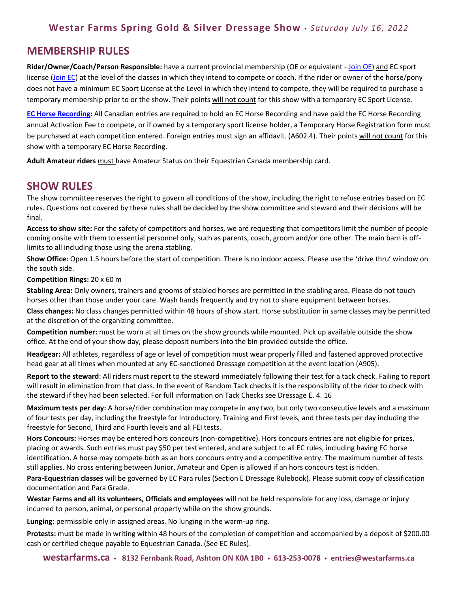### **MEMBERSHIP RULES**

**Rider/Owner/Coach/Person Responsible:** have a current provincial membership (OE or equivalent - [Join OE\)](https://ontarioequestrian.ca/membership/) and EC sport license [\(Join EC\)](https://www.equestrian.ca/programs-services/licences/join-renew) at the level of the classes in which they intend to compete or coach. If the rider or owner of the horse/pony does not have a minimum EC Sport License at the Level in which they intend to compete, they will be required to purchase a temporary membership prior to or the show. Their points will not count for this show with a temporary EC Sport License.

**[EC Horse Recording:](https://www.equestrian.ca/programs-services/horseid)** All Canadian entries are required to hold an EC Horse Recording and have paid the EC Horse Recording annual Activation Fee to compete, or if owned by a temporary sport license holder, a Temporary Horse Registration form must be purchased at each competition entered. Foreign entries must sign an affidavit. (A602.4). Their points will not count for this show with a temporary EC Horse Recording.

**Adult Amateur riders** must have Amateur Status on their Equestrian Canada membership card.

#### **SHOW RULES**

The show committee reserves the right to govern all conditions of the show, including the right to refuse entries based on EC rules. Questions not covered by these rules shall be decided by the show committee and steward and their decisions will be final.

**Access to show site:** For the safety of competitors and horses, we are requesting that competitors limit the number of people coming onsite with them to essential personnel only, such as parents, coach, groom and/or one other. The main barn is offlimits to all including those using the arena stabling.

**Show Office:** Open 1.5 hours before the start of competition. There is no indoor access. Please use the 'drive thru' window on the south side.

**Competition Rings:** 20 x 60 m

**Stabling Area:** Only owners, trainers and grooms of stabled horses are permitted in the stabling area. Please do not touch horses other than those under your care. Wash hands frequently and try not to share equipment between horses.

**Class changes:** No class changes permitted within 48 hours of show start. Horse substitution in same classes may be permitted at the discretion of the organizing committee.

**Competition number:** must be worn at all times on the show grounds while mounted. Pick up available outside the show office. At the end of your show day, please deposit numbers into the bin provided outside the office.

**Headgear:** All athletes, regardless of age or level of competition must wear properly filled and fastened approved protective head gear at all times when mounted at any EC-sanctioned Dressage competition at the event location (A905).

**Report to the steward**: All riders must report to the steward immediately following their test for a tack check. Failing to report will result in elimination from that class. In the event of Random Tack checks it is the responsibility of the rider to check with the steward if they had been selected. For full information on Tack Checks see Dressage E. 4. 16

**Maximum tests per day:** A horse/rider combination may compete in any two, but only two consecutive levels and a maximum of four tests per day, including the freestyle for Introductory, Training and First levels, and three tests per day including the freestyle for Second, Third and Fourth levels and all FEI tests.

**Hors Concours:** Horses may be entered hors concours (non-competitive). Hors concours entries are not eligible for prizes, placing or awards. Such entries must pay \$50 per test entered, and are subject to all EC rules, including having EC horse identification. A horse may compete both as an hors concours entry and a competitive entry. The maximum number of tests still applies. No cross entering between Junior, Amateur and Open is allowed if an hors concours test is ridden.

**Para-Equestrian classes** will be governed by EC Para rules (Section E Dressage Rulebook). Please submit copy of classification documentation and Para Grade.

**Westar Farms and all its volunteers, Officials and employees** will not be held responsible for any loss, damage or injury incurred to person, animal, or personal property while on the show grounds.

**Lunging**: permissible only in assigned areas. No lunging in the warm-up ring.

**Protests:** must be made in writing within 48 hours of the completion of competition and accompanied by a deposit of \$200.00 cash or certified cheque payable to Equestrian Canada. (See EC Rules).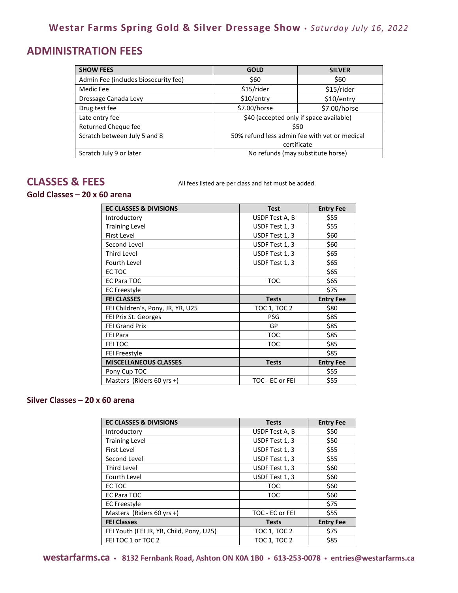# **ADMINISTRATION FEES**

| <b>SHOW FEES</b>                     | <b>GOLD</b>                                   | <b>SILVER</b> |
|--------------------------------------|-----------------------------------------------|---------------|
| Admin Fee (includes biosecurity fee) | \$60                                          | \$60          |
| Medic Fee                            | \$15/rider                                    | \$15/rider    |
| Dressage Canada Levy                 | \$10/entry                                    | \$10/entry    |
| Drug test fee                        | \$7.00/horse                                  | \$7.00/horse  |
| Late entry fee                       | \$40 (accepted only if space available)       |               |
| Returned Cheque fee                  | \$50                                          |               |
| Scratch between July 5 and 8         | 50% refund less admin fee with yet or medical |               |
|                                      | certificate                                   |               |
| Scratch July 9 or later              | No refunds (may substitute horse)             |               |

**CLASSES & FEES** All fees listed are per class and hst must be added.

#### **Gold Classes – 20 x 60 arena**

| <b>EC CLASSES &amp; DIVISIONS</b> | <b>Test</b>    | <b>Entry Fee</b> |
|-----------------------------------|----------------|------------------|
| Introductory                      | USDF Test A, B | \$55             |
| <b>Training Level</b>             | USDF Test 1, 3 | \$55             |
| <b>First Level</b>                | USDF Test 1, 3 | \$60             |
| Second Level                      | USDF Test 1, 3 | \$60             |
| <b>Third Level</b>                | USDF Test 1, 3 | \$65             |
| <b>Fourth Level</b>               | USDF Test 1, 3 | \$65             |
| EC TOC                            |                | \$65             |
| <b>EC Para TOC</b>                | <b>TOC</b>     | \$65             |
| <b>EC Freestyle</b>               |                | \$75             |
|                                   |                |                  |
| <b>FEI CLASSES</b>                | <b>Tests</b>   | <b>Entry Fee</b> |
| FEI Children's, Pony, JR, YR, U25 | TOC 1, TOC 2   | \$80             |
| FEI Prix St. Georges              | <b>PSG</b>     | \$85             |
| <b>FEI Grand Prix</b>             | GP             | \$85             |
| <b>FEI Para</b>                   | <b>TOC</b>     | \$85             |
| FEI TOC                           | <b>TOC</b>     | \$85             |
| <b>FEI Freestyle</b>              |                | \$85             |
| <b>MISCELLANEOUS CLASSES</b>      | <b>Tests</b>   | <b>Entry Fee</b> |
| Pony Cup TOC                      |                | \$55             |

#### **Silver Classes – 20 x 60 arena**

| <b>EC CLASSES &amp; DIVISIONS</b>        | <b>Tests</b>        | <b>Entry Fee</b> |
|------------------------------------------|---------------------|------------------|
| Introductory                             | USDF Test A, B      | \$50             |
| <b>Training Level</b>                    | USDF Test 1, 3      | \$50             |
| <b>First Level</b>                       | USDF Test 1, 3      | \$55             |
| Second Level                             | USDF Test 1, 3      | \$55             |
| Third Level                              | USDF Test 1, 3      | \$60             |
| Fourth Level                             | USDF Test 1, 3      | \$60             |
| EC TOC                                   | <b>TOC</b>          | \$60             |
| EC Para TOC                              | <b>TOC</b>          | \$60             |
| <b>EC Freestyle</b>                      |                     | \$75             |
| Masters (Riders 60 yrs +)                | TOC - EC or FEI     | \$55             |
| <b>FEI Classes</b>                       | <b>Tests</b>        | <b>Entry Fee</b> |
| FEI Youth (FEI JR, YR, Child, Pony, U25) | <b>TOC 1, TOC 2</b> | \$75             |
| FEI TOC 1 or TOC 2                       | <b>TOC 1, TOC 2</b> | \$85             |